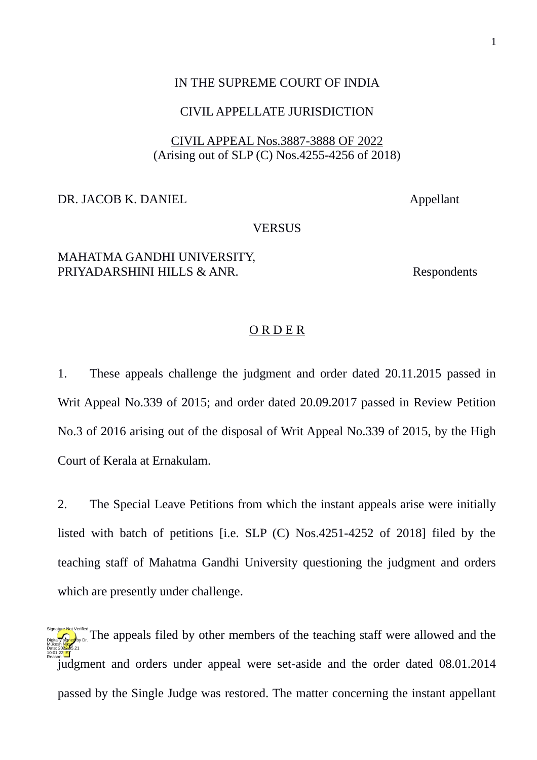#### IN THE SUPREME COURT OF INDIA

#### CIVIL APPELLATE JURISDICTION

## CIVIL APPEAL Nos.3887-3888 OF 2022 (Arising out of SLP (C) Nos.4255-4256 of 2018)

#### DR. JACOB K. DANIEL Appellant

### **VERSUS**

# MAHATMA GANDHI UNIVERSITY, PRIYADARSHINI HILLS & ANR. Respondents

#### O R D E R

1. These appeals challenge the judgment and order dated 20.11.2015 passed in Writ Appeal No.339 of 2015; and order dated 20.09.2017 passed in Review Petition No.3 of 2016 arising out of the disposal of Writ Appeal No.339 of 2015, by the High Court of Kerala at Ernakulam.

2. The Special Leave Petitions from which the instant appeals arise were initially listed with batch of petitions [i.e. SLP (C) Nos.4251-4252 of 2018] filed by the teaching staff of Mahatma Gandhi University questioning the judgment and orders which are presently under challenge.

 $\frac{1}{\log_{100} \sqrt{3} \log_{100} \sqrt{3}}$  The appeals filed by other members of the teaching staff were allowed and the judgment and orders under appeal were set-aside and the order dated 08.01.2014 passed by the Single Judge was restored. The matter concerning the instant appellant Mukesh Masa Date: 2022.05.21 10:01:22 IST Reason: Signature Not Verified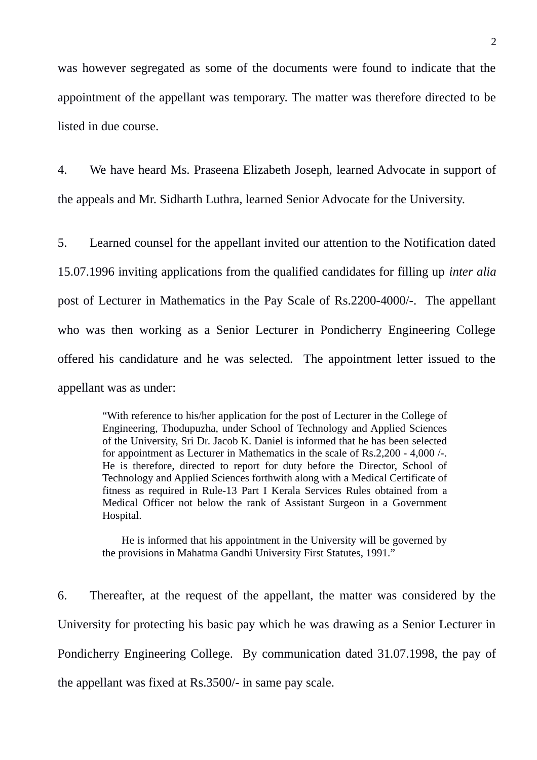was however segregated as some of the documents were found to indicate that the appointment of the appellant was temporary. The matter was therefore directed to be listed in due course.

4. We have heard Ms. Praseena Elizabeth Joseph, learned Advocate in support of the appeals and Mr. Sidharth Luthra, learned Senior Advocate for the University.

5. Learned counsel for the appellant invited our attention to the Notification dated 15.07.1996 inviting applications from the qualified candidates for filling up *inter alia* post of Lecturer in Mathematics in the Pay Scale of Rs.2200-4000/-. The appellant who was then working as a Senior Lecturer in Pondicherry Engineering College offered his candidature and he was selected. The appointment letter issued to the appellant was as under:

> "With reference to his/her application for the post of Lecturer in the College of Engineering, Thodupuzha, under School of Technology and Applied Sciences of the University, Sri Dr. Jacob K. Daniel is informed that he has been selected for appointment as Lecturer in Mathematics in the scale of Rs.2,200 - 4,000 /-. He is therefore, directed to report for duty before the Director, School of Technology and Applied Sciences forthwith along with a Medical Certificate of fitness as required in Rule-13 Part I Kerala Services Rules obtained from a Medical Officer not below the rank of Assistant Surgeon in a Government Hospital.

> He is informed that his appointment in the University will be governed by the provisions in Mahatma Gandhi University First Statutes, 1991."

6. Thereafter, at the request of the appellant, the matter was considered by the University for protecting his basic pay which he was drawing as a Senior Lecturer in Pondicherry Engineering College. By communication dated 31.07.1998, the pay of the appellant was fixed at Rs.3500/- in same pay scale.